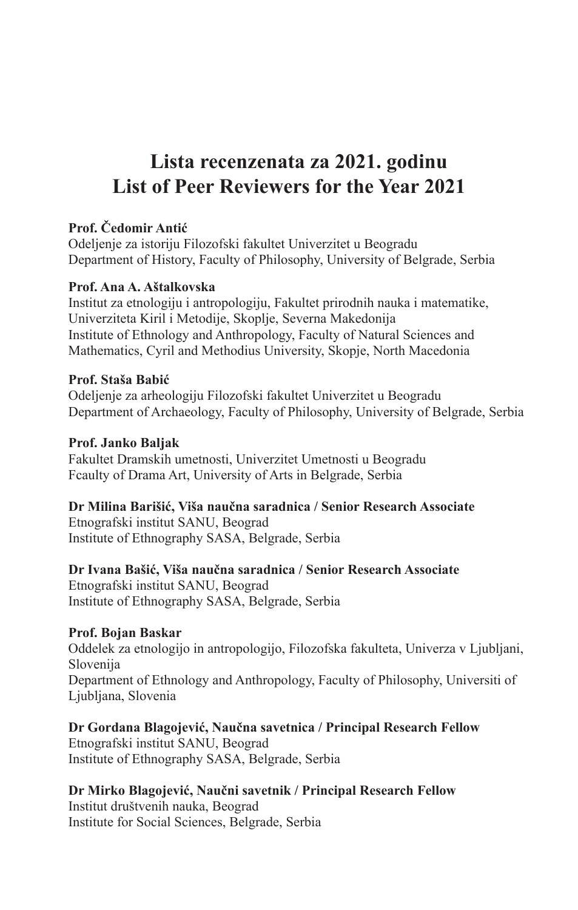# **Lista recenzenata za 2021. godinu List of Peer Reviewers for the Year 2021**

#### **Prof. Čedomir Antić**

Odeljenje za istoriju Filozofski fakultet Univerzitet u Beogradu Department of History, Faculty of Philosophy, University of Belgrade, Serbia

#### **Prof. Ana A. Aštalkovska**

Institut za etnologiju i antropologiju, Fakultet prirodnih nauka i matematike, Univerziteta Kiril i Metodije, Skoplje, Severna Makedonija Institute of Ethnology and Anthropology, Faculty of Natural Sciences and Mathematics, Cyril and Methodius University, Skopje, North Macedonia

#### **Prof. Staša Babić**

Odeljenje za arheologiju Filozofski fakultet Univerzitet u Beogradu Department of Archaeology, Faculty of Philosophy, University of Belgrade, Serbia

#### **Prof. Janko Baljak**

Fakultet Dramskih umetnosti, Univerzitet Umetnosti u Beogradu Fcaulty of Drama Art, University of Arts in Belgrade, Serbia

#### **Dr Milina Barišić, Viša naučna saradnica / Senior Research Associate**

Etnografski institut SANU, Beograd Institute of Ethnography SASA, Belgrade, Serbia

#### **Dr Ivana Bašić, Viša naučna saradnica / Senior Research Associate**

Etnografski institut SANU, Beograd Institute of Ethnography SASA, Belgrade, Serbia

#### **Prof. Bojan Baskar**

O ddelek za etnologijo in antropologijo, Filozofska fakulteta, Univerza v Ljubljani, Slovenija Department of Ethnology and Anthropology, Faculty of Philosophy, Universiti of Ljubljana, Slovenia

## **Dr Gordana Blagojević, Naučna savetnica / Principal Research Fellow**

Etnografski institut SANU, Beograd Institute of Ethnography SASA, Belgrade, Serbia

#### **Dr Mirko Blagojević, Naučni savetnik / Principal Research Fellow**

Institut društvenih nauka, Beograd Institute for Social Sciences, Belgrade, Serbia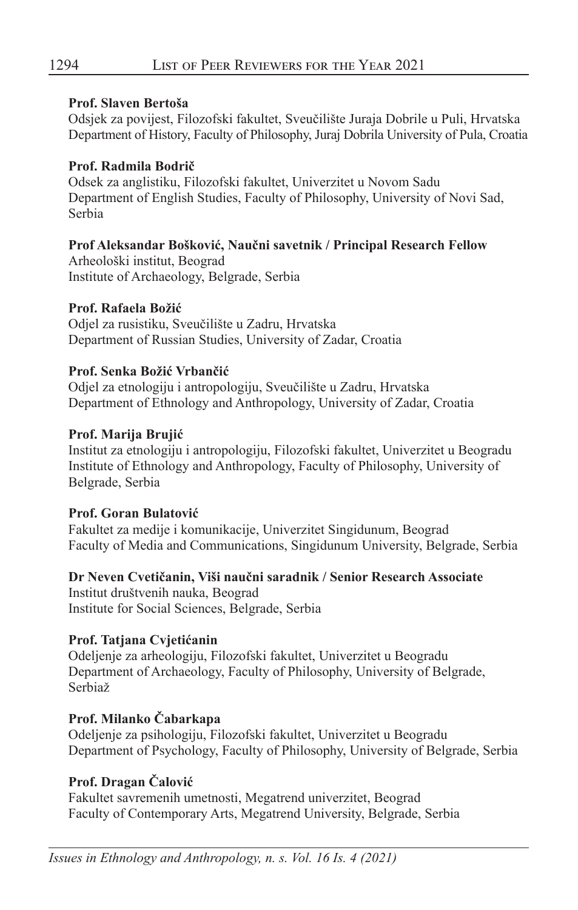#### **Prof. Slaven Bertoša**

Odsjek za povijest, Filozofski fakultet, Sveučilište Juraja Dobrile u Puli, Hrvatska Department of History, Faculty of Philosophy, Juraj Dobrila University of Pula, Croatia

#### **Prof. Radmila Bodrič**

Odsek za anglistiku, Filozofski fakultet, Univerzitet u Novom Sadu Department of English Studies, Faculty of Philosophy, University of Novi Sad, Serbia

#### **Prof Aleksandar Bošković, Naučni savetnik / Principal Research Fellow**

Arheološki institut, Beograd Institute of Archaeology, Belgrade, Serbia

#### **Prof. Rafaela Božić**

Odjel za rusistiku, Sveučilište u Zadru, Hrvatska Department of Russian Studies, University of Zadar, Croatia

#### **Prof. Senka Božić Vrbančić**

Odjel za etnologiju i antropologiju, Sveučilište u Zadru, Hrvatska Department of Ethnology and Anthropology, University of Zadar, Croatia

#### **Prof. Marija Brujić**

Institut za etnologiju i antropologiju, Filozofski fakultet, Univerzitet u Beogradu Institute of Ethnology and Anthropology, Faculty of Philosophy, University of Belgrade, Serbia

#### **Prof. Goran Bulatović**

Fakultet za medije i komunikacije, Univerzitet Singidunum, Beograd Faculty of Media and Communications, Singidunum University, Belgrade, Serbia

**Dr Neven Cvetičanin, Viši naučni saradnik / Senior Research Associate** Institut društvenih nauka, Beograd Institute for Social Sciences, Belgrade, Serbia

## Prof. Tatjana Cvjetićanin

Odeljenje za arheologiju, Filozofski fakultet, Univerzitet u Beogradu Department of Archaeology, Faculty of Philosophy, University of Belgrade, Serbiaž

## **Prof. Milanko Čabarkapa**

Odeljenje za psihologiju, Filozofski fakultet, Univerzitet u Beogradu Department of Psychology, Faculty of Philosophy, University of Belgrade, Serbia

## **Prof. Dragan Čalović**

Fakultet savremenih umetnosti, Megatrend univerzitet, Beograd Faculty of Contemporary Arts, Megatrend University, Belgrade, Serbia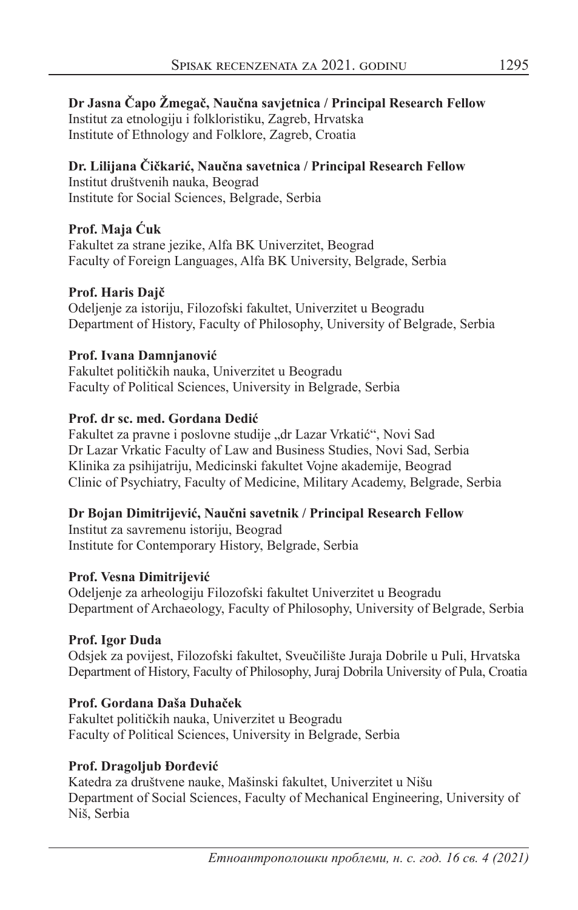#### **Dr Jasna Čapo Žmegač, Naučna savjetnica / Principal Research Fellow** Institut za etnologiju i folkloristiku, Zagreb, Hrvatska Institute of Ethnology and Folklore, Zagreb, Croatia

## **Dr. Lilijana Či čkarić, Naučna savetnica / Principal Research Fellow** Institut društvenih nauka, Beograd

Institute for Social Sciences, Belgrade, Serbia

#### **Prof. Maja Ćuk**

Fakultet za strane jezike, Alfa BK Univerzitet, Beograd Faculty of Foreign Languages, Alfa BK University, Belgrade, Serbia

#### **Prof. Haris Dajč**

Odeljenje za istoriju, Filozofski fakultet, Univerzitet u Beogradu Department of History, Faculty of Philosophy, University of Belgrade, Serbia

#### **Prof. Ivana Damnjanović**

Fakultet političkih nauka, Univerzitet u Beogradu Faculty of Political Sciences, University in Belgrade, Serbia

#### **Prof. dr sc. med. Gordana Dedić**

Fakultet za pravne i poslovne studije "dr Lazar Vrkatić", Novi Sad Dr Lazar Vrkatic Faculty of Law and Business Studies, Novi Sad, Serbia Klinika za psihijatriju, Medicinski fakultet Vojne akademije, Beograd Clinic of Psychiatry, Faculty of Medicine, Military Academy, Belgrade, Serbia

## **Dr Bojan Dimitrijević, Naučni savetnik / Principal Research Fellow**

Institut za savremenu istoriju, Beograd Institute for Contemporary History, Belgrade, Serbia

#### **Prof. Vesna Dimitrijević**

Odeljenje za arheologiju Filozofski fakultet Univerzitet u Beogradu Department of Archaeology, Faculty of Philosophy, University of Belgrade, Serbia

## **Prof. Igor Duda**

Odsjek za povijest, Filozofski fakultet, Sveučilište Juraja Dobrile u Puli, Hrvatska Department of History, Faculty of Philosophy, Juraj Dobrila University of Pula, Croatia

## **Prof. Gordana Daša Duhaček**

Fakultet političkih nauka, Univerzitet u Beogradu Faculty of Political Sciences, University in Belgrade, Serbia

#### **Prof. Dragoljub Đorđević**

Katedra za društvene nauke, Mašinski fakultet, Univerzitet u Nišu Department of Social Sciences, Faculty of Mechanical Engineering, University of Niš, Serbia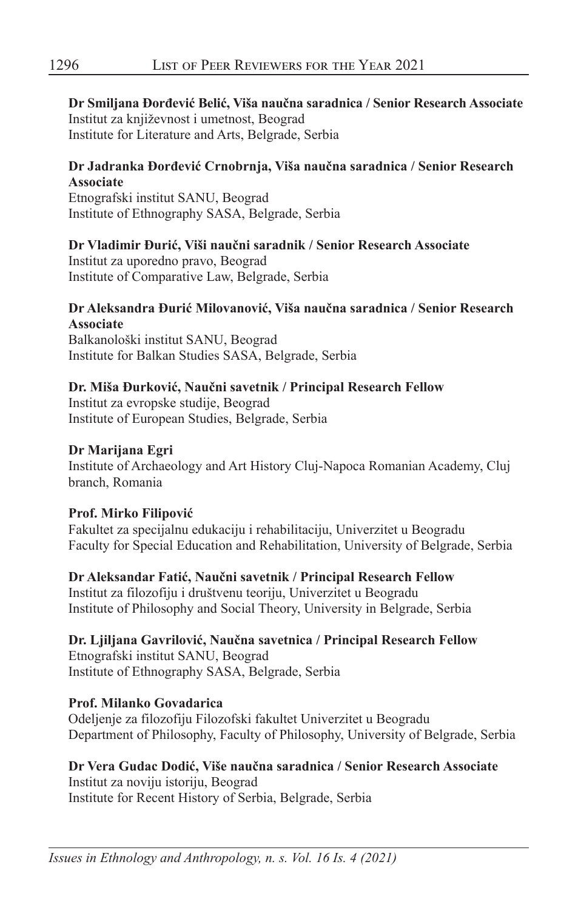#### **Dr Smiljana Đorđević Belić, Viša naučna saradnica / Senior Research Associate** Institut za književnost i umetnost, Beograd Institute for Literature and Arts, Belgrade, Serbia

#### **Dr Jadranka Đorđević Crnobrnja, Viša naučna saradnica / Senior Research Associate**

Etnografski institut SANU, Beograd Institute of Ethnography SASA, Belgrade, Serbia

#### **Dr Vladimir Đurić, Viši naučni saradnik / Senior Research Associate**

Institut za uporedno pravo, Beograd Institute of Comparative Law, Belgrade, Serbia

#### **Dr Aleksandra Đurić Milovanović, Viša naučna saradnica / Senior Research Associate**

Balkanološki institut SANU, Beograd Institute for Balkan Studies SASA, Belgrade, Serbia

#### **Dr. Miša Đurković, Naučni savetnik / Principal Research Fellow**

Institut za evropske studije, Beograd Institute of European Studies, Belgrade, Serbia

#### **Dr Marijana Egri**

Institute of Archaeology and Art History Cluj-Napoca Romanian Academy, Cluj branch, Romania

#### **Prof. Mirko Filipović**

Fakultet za specijalnu edukaciju i rehabilitaciju, Univerzitet u Beogradu Faculty for Special Education and Rehabilitation, University of Belgrade, Serbia

**Dr Aleksandar Fatić, Naučni savetnik / Principal Research Fellow** Institut za filozofiju i društvenu teoriju, Univerzitet u Beogradu Institute of Philosophy and Social Theory, University in Belgrade, Serbia

## **Dr. Ljiljana Gavrilović, Naučna savetnica / Principal Research Fellow**

Etnografski institut SANU, Beograd Institute of Ethnography SASA, Belgrade, Serbia

#### **Prof. Milanko Govadarica**

Odeljenje za filozofiju Filozofski fakultet Univerzitet u Beogradu Department of Philosophy, Faculty of Philosophy, University of Belgrade, Serbia

## **Dr Vera Gudac Dodić, Više naučna saradnica / Senior Research Associate**

Institut za noviju istoriju, Beograd Institute for Recent History of Serbia, Belgrade, Serbia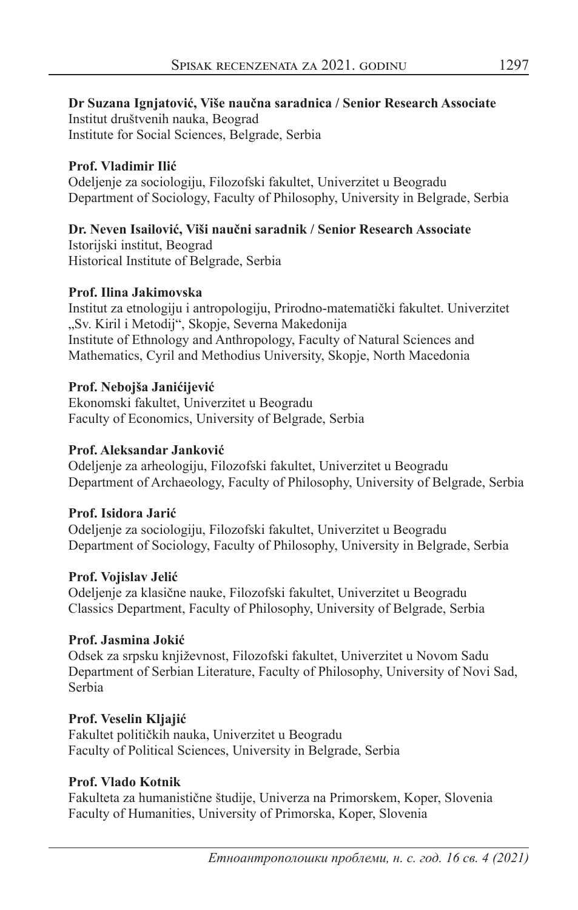**Dr Suzana Ignjatović, Više naučna saradnica / Senior Research Associate** Institut društvenih nauka, Beograd Institute for Social Sciences, Belgrade, Serbia

#### **Prof. Vladimir Ilić**

Odeljenje za sociologiju, Filozofski fakultet, Univerzitet u Beogradu Department of Sociology, Faculty of Philosophy, University in Belgrade, Serbia

## **Dr. Neven Isailović, Viši naučni saradnik / Senior Research Associate**

Istorijski institut, Beograd Historical Institute of Belgrade, Serbia

#### **Prof. Ilina Jakimovska**

Institut za etnologiju i antropologiju, Prirodno-matematički fakultet. Univerzitet "Sv. Kiril i Metodij", Skopje, Severna Makedonija Institute of Ethnology and Anthropology, Faculty of Natural Sciences and Mathematics, Cyril and Methodius University, Skopje, North Macedonia

## **Prof. Nebojša Janićijević**

Ekonomski fakultet, Univerzitet u Beogradu Faculty of Economics, University of Belgrade, Serbia

## **Prof. Aleksandar Janković**

Odeljenje za arheologiju, Filozofski fakultet, Univerzitet u Beogradu Department of Archaeology, Faculty of Philosophy, University of Belgrade, Serbia

## **Prof. Isidora Jarić**

Odeljenje za sociologiju, Filozofski fakultet, Univerzitet u Beogradu Department of Sociology, Faculty of Philosophy, University in Belgrade, Serbia

## **Prof. Vojislav Jelić**

Odeljenje za klasične nauke, Filozofski fakultet, Univerzitet u Beogradu Classics Department, Faculty of Philosophy, University of Belgrade, Serbia

## **Prof. Jasmina Jokić**

Odsek za srpsku književnost, Filozofski fakultet, Univerzitet u Novom Sadu Department of Serbian Literature, Faculty of Philosophy, University of Novi Sad, Serbia

## **Prof. Veselin Kljajić**

Fakultet političkih nauka, Univerzitet u Beogradu Faculty of Political Sciences, University in Belgrade, Serbia

## **Prof. Vlado Kotnik**

Fakulteta za humanistične študije, Univerza na Primorskem, Koper, Slovenia Faculty of Humanities, University of Primorska, Koper, Slovenia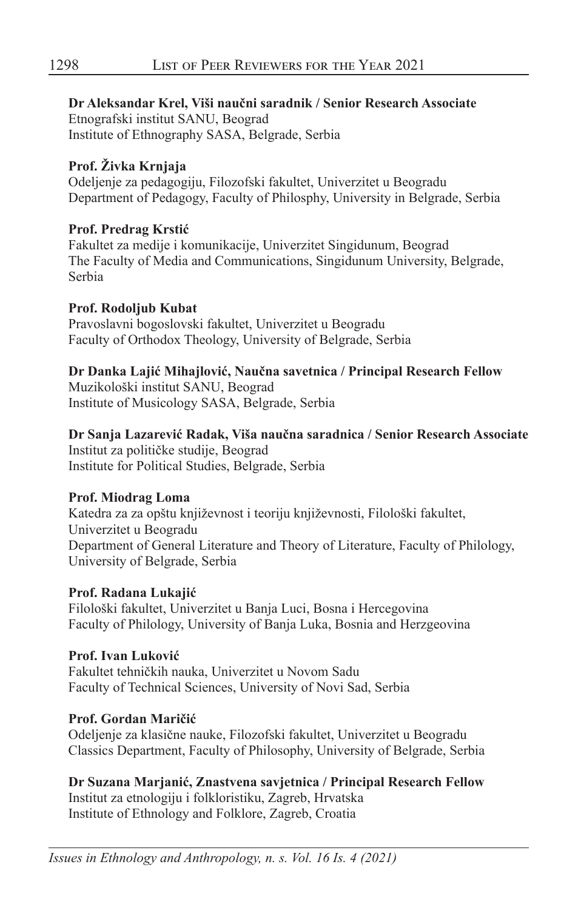**Dr Aleksandar Krel, Viši naučni saradnik / Senior Research Associate** Etnografski institut SANU, Beograd Institute of Ethnography SASA, Belgrade, Serbia

## **Prof. Živka Krnjaja**

Odeljenje za pedagogiju, Filozofski fakultet, Univerzitet u Beogradu Department of Pedagogy, Faculty of Philosphy, University in Belgrade, Serbia

#### **Prof. Predrag Krstić**

Fakultet za medije i komunikacije, Univerzitet Singidunum, Beograd The Faculty of Media and Communications, Singidunum University, Belgrade, Serbia

#### **Prof. Rodoljub Kubat**

Pravoslavni bogoslovski fakultet, Univerzitet u Beogradu Faculty of Orthodox Theology, University of Belgrade, Serbia

## **Dr Danka Lajić Mihajlović, Naučna savetnica / Principal Research Fellow**

Muzikološki institut SANU, Beograd Institute of Musicology SASA, Belgrade, Serbia

## **Dr Sanja Lazarević Radak, Viša naučna saradnica / Senior Research Associate**

Institut za političke studije, Beograd Institute for Political Studies, Belgrade, Serbia

#### **Prof. Miodrag Loma**

Katedra za za opštu književnost i teoriju književnosti, Filološki fakultet, Univerzitet u Beogradu Department of General Literature and Theory of Literature, Faculty of Philology, University of Belgrade, Serbia

#### **Prof. Radana Lukajić**

Filološki fakultet, Univerzitet u Banja Luci, Bosna i Hercegovina Faculty of Philology, University of Banja Luka, Bosnia and Herzgeovina

## **Prof. Ivan Luković**

Fakultet tehničkih nauka, Univerzitet u Novom Sadu Faculty of Technical Sciences, University of Novi Sad, Serbia

## **Prof. Gordan Maričić**

Odeljenje za klasične nauke, Filozofski fakultet, Univerzitet u Beogradu Classics Department, Faculty of Philosophy, University of Belgrade, Serbia

**Dr Suzana Marjanić, Znastvena savjetnica / Principal Research Fellow**

Institut za etnologiju i folkloristiku, Zagreb, Hrvatska Institute of Ethnology and Folklore, Zagreb, Croatia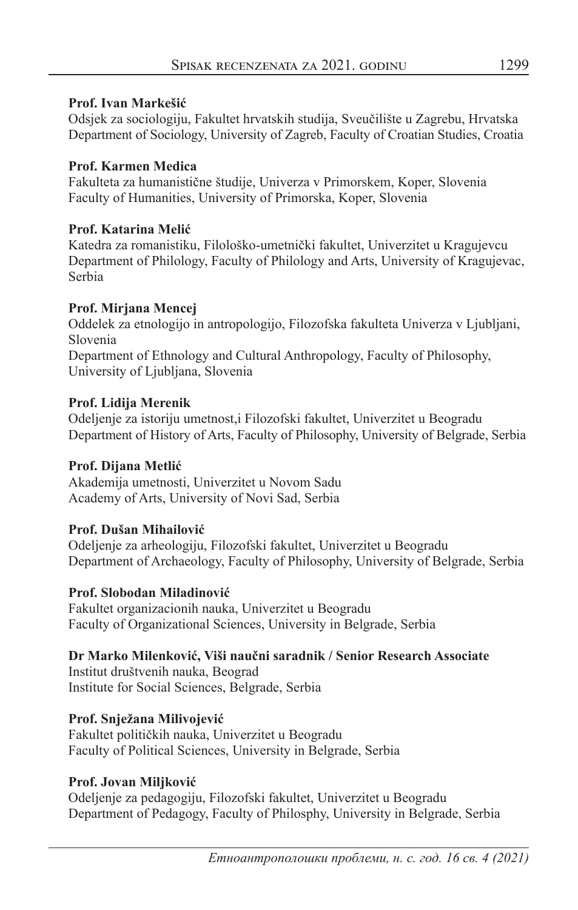#### **Prof. Ivan Markešić**

Odsjek za sociologiju, Fakultet hrvatskih studija, Sveučilište u Zagrebu, Hrvatska Department of Sociology, University of Zagreb, Faculty of Croatian Studies, Croatia

#### **Prof. Karmen Medica**

Fakulteta za humanistične študije, Univerza v Primorskem, Koper, Slovenia Faculty of Humanities, University of Primorska, Koper, Slovenia

#### **Prof. Katarina Melić**

Katedra za romanistiku, Filološko-umetnički fakultet, Univerzitet u Kragujevcu Department of Philology, Faculty of Philology and Arts, University of Kragujevac, Serbia

#### Prof. Mirjana Mencej

Oddelek za etnologijo in antropologijo, Filozofska fakulteta Univerza v Ljubljani, Slovenia Department of Ethnology and Cultural Anthropology, Faculty of Philosophy, University of Ljubljana, Slovenia

#### **Prof. Lidija Merenik**

Odeljenje za istoriju umetnost,i Filozofski fakultet, Univerzitet u Beogradu Department of History of Arts, Faculty of Philosophy, University of Belgrade, Serbia

## **Prof. Dijana Metlić**

Akademija umetnosti, Univerzitet u Novom Sadu Academy of Arts, University of Novi Sad, Serbia

## **Prof. Dušan Mihailović**

Odeljenje za arheologiju, Filozofski fakultet, Univerzitet u Beogradu Department of Archaeology, Faculty of Philosophy, University of Belgrade, Serbia

## **Prof. Slobodan Miladinović**

Fakultet organizacionih nauka, Univerzitet u Beogradu Faculty of Organizational Sciences, University in Belgrade, Serbia

## **Dr Marko Milenković, Viši naučni saradnik / Senior Research Associate**

Institut društvenih nauka, Beograd Institute for Social Sciences, Belgrade, Serbia

## **Prof. Snježana Milivojević**

Fakultet političkih nauka, Univerzitet u Beogradu Faculty of Political Sciences, University in Belgrade, Serbia

## **Prof. Jovan Miljković**

Odeljenje za pedagogiju, Filozofski fakultet, Univerzitet u Beogradu Department of Pedagogy, Faculty of Philosphy, University in Belgrade, Serbia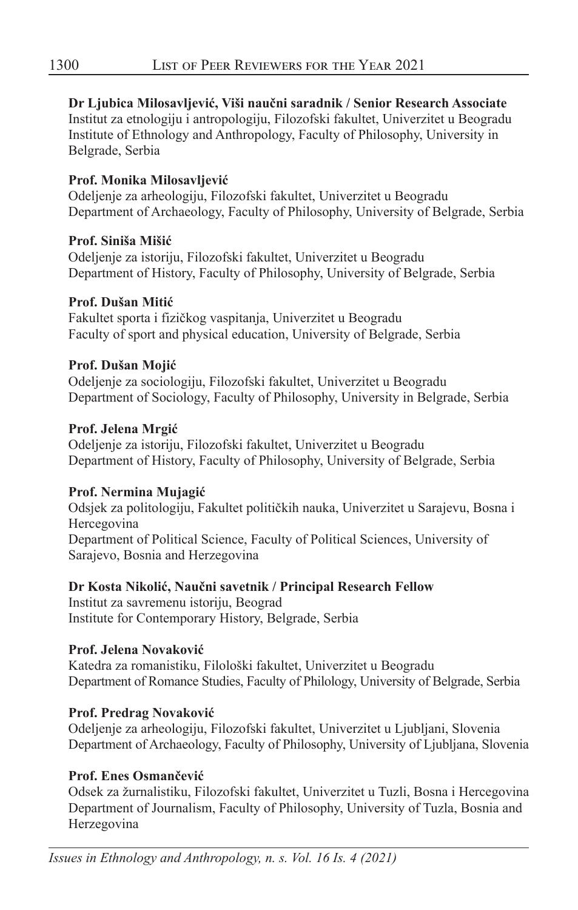#### **Dr Ljubica Milosavljević, Viši naučni saradnik / Senior Research Associate**

Institut za etnologiju i antropologiju, Filozofski fakultet, Univerzitet u Beogradu Institute of Ethnology and Anthropology, Faculty of Philosophy, University in Belgrade, Serbia

#### **Prof. Monika Milosavljević**

Odeljenje za arheologiju, Filozofski fakultet, Univerzitet u Beogradu Department of Archaeology, Faculty of Philosophy, University of Belgrade, Serbia

#### **Prof. Siniša Mišić**

Odeljenje za istoriju, Filozofski fakultet, Univerzitet u Beogradu Department of History, Faculty of Philosophy, University of Belgrade, Serbia

#### **Prof. Dušan Mitić**

Fakultet sporta i fizičkog vaspitanja, Univerzitet u Beogradu Faculty of sport and physical education, University of Belgrade, Serbia

## **Prof. Dušan Mojić**

Odeljenje za sociologiju, Filozofski fakultet, Univerzitet u Beogradu Department of Sociology, Faculty of Philosophy, University in Belgrade, Serbia

#### **Prof. Jelena Mrgić**

Odeljenje za istoriju, Filozofski fakultet, Univerzitet u Beogradu Department of History, Faculty of Philosophy, University of Belgrade, Serbia

#### **Prof. Nermina Mujagić**

Odsjek za politologiju, Fakultet političkih nauka, Univerzitet u Sarajevu, Bosna i Hercegovina Department of Political Science, Faculty of Political Sciences, University of Sarajevo, Bosnia and Herzegovina

## **Dr Kosta Nikolić, Naučni savetnik / Principal Research Fellow**

Institut za savremenu istoriju, Beograd Institute for Contemporary History, Belgrade, Serbia

## **Prof. Jelena Novaković**

Katedra za romanistiku, Filološki fakultet, Univerzitet u Beogradu Department of Romance Studies, Faculty of Philology, University of Belgrade, Serbia

## **Prof. Predrag Novaković**

Odeljenje za arheologiju, Filozofski fakultet, Univerzitet u Ljubljani, Slovenia Department of Archaeology, Faculty of Philosophy, University of Ljubljana, Slovenia

## **Prof. Enes Osmančević**

Odsek za žurnalistiku, Filozofski fakultet, Univerzitet u Tuzli, Bosna i Hercegovina Department of Journalism, Faculty of Philosophy, University of Tuzla, Bosnia and Herzegovina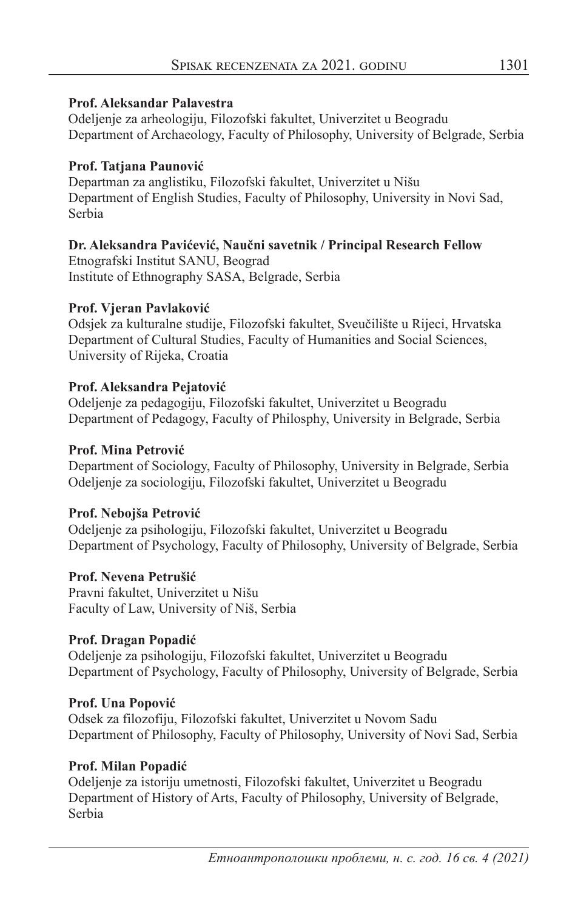#### **Prof. Aleksandar Palavestra**

Odeljenje za arheologiju, Filozofski fakultet, Univerzitet u Beogradu Department of Archaeology, Faculty of Philosophy, University of Belgrade, Serbia

#### **Prof. Tatjana Paunović**

Departman za anglistiku, Filozofski fakultet, Univerzitet u Nišu Department of English Studies, Faculty of Philosophy, University in Novi Sad, Serbia

## **Dr. Aleksandra Pavićević, Naučni savetnik / Principal Research Fellow**

Etnografski Institut SANU, Beograd Institute of Ethnography SASA, Belgrade, Serbia

#### **Prof. Vjeran Pavlaković**

Odsjek za kulturalne studije, Filozofski fakultet, Sveučilište u Rijeci, Hrvatska Department of Cultural Studies, Faculty of Humanities and Social Sciences, University of Rijeka, Croatia

#### **Prof. Aleksandra Pejatović**

Odeljenje za pedagogiju, Filozofski fakultet, Univerzitet u Beogradu Department of Pedagogy, Faculty of Philosphy, University in Belgrade, Serbia

#### **Prof. Mina Petrović**

Department of Sociology, Faculty of Philosophy, University in Belgrade, Serbia Odeljenje za sociologiju, Filozofski fakultet, Univerzitet u Beogradu

#### **Prof. Nebojša Petrović**

Odeljenje za psihologiju, Filozofski fakultet, Univerzitet u Beogradu Department of Psychology, Faculty of Philosophy, University of Belgrade, Serbia

#### **Prof. Nevena Petrušić**

Pravni fakultet, Univerzitet u Nišu Faculty of Law, University of Niš, Serbia

#### **Prof. Dragan Popadić**

Odeljenje za psihologiju, Filozofski fakultet, Univerzitet u Beogradu Department of Psychology, Faculty of Philosophy, University of Belgrade, Serbia

#### **Prof. Una Popović**

Odsek za filozofiju, Filozofski fakultet, Univerzitet u Novom Sadu Department of Philosophy, Faculty of Philosophy, University of Novi Sad, Serbia

#### **Prof. Milan Popadić**

Odeljenje za istoriju umetnosti, Filozofski fakultet, Univerzitet u Beogradu Department of History of Arts, Faculty of Philosophy, University of Belgrade, Serbia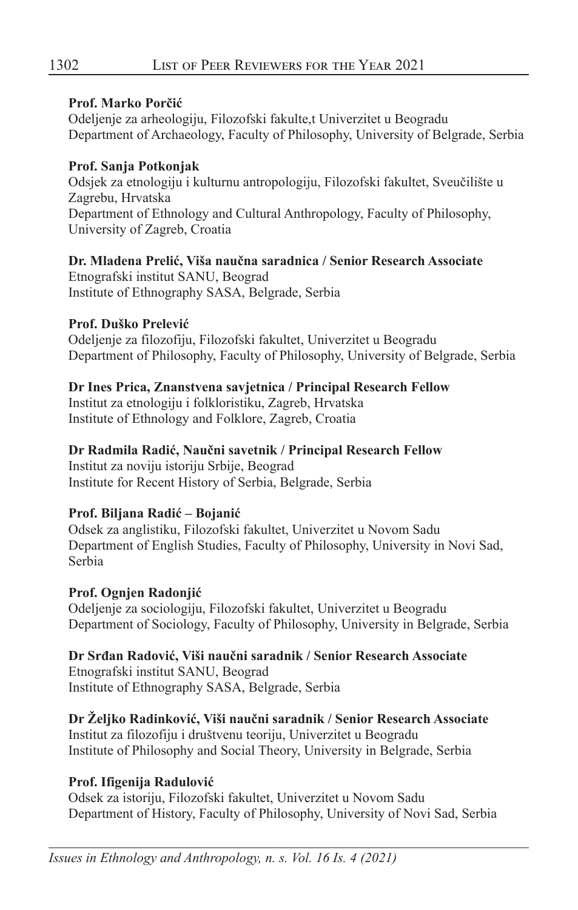#### **Prof. Marko Porčić**

Odeljenje za arheologiju, Filozofski fakulte,t Univerzitet u Beogradu Department of Archaeology, Faculty of Philosophy, University of Belgrade, Serbia

## **Prof. Sanja Potkonjak**

Odsjek za etnologiju i kulturnu antropologiju, Filozofski fakultet, Sveučilište u Zagrebu, Hrvatska Department of Ethnology and Cultural Anthropology, Faculty of Philosophy, University of Zagreb, Croatia

## **Dr. Mladena Prelić, Viša naučna saradnica / Senior Research Associate**

Etnografski institut SANU, Beograd Institute of Ethnography SASA, Belgrade, Serbia

## **Prof. Duško Prelević**

Odeljenje za filozofiju, Filozofski fakultet, Univerzitet u Beogradu Department of Philosophy, Faculty of Philosophy, University of Belgrade, Serbia

## **Dr Ines Prica, Znanstvena savjetnica / Principal Research Fellow**

Institut za etnologiju i folkloristiku, Zagreb, Hrvatska Institute of Ethnology and Folklore, Zagreb, Croatia

## **Dr Radmila Radić, Naučni savetnik / Principal Research Fellow**

Institut za noviju istoriju Srbije, Beograd Institute for Recent History of Serbia, Belgrade, Serbia

## **Prof. Biljana Radić – Bojanić**

Odsek za anglistiku, Filozofski fakultet, Univerzitet u Novom Sadu Department of English Studies, Faculty of Philosophy, University in Novi Sad, Serbia

## **Prof. Ognjen Radonjić**

Odeljenje za sociologiju, Filozofski fakultet, Univerzitet u Beogradu Department of Sociology, Faculty of Philosophy, University in Belgrade, Serbia

## **Dr Srđan Radović, Viši naučni saradnik / Senior Research Associate**

Etnografski institut SANU, Beograd Institute of Ethnography SASA, Belgrade, Serbia

## **Dr Željko Radinković, Viši naučni saradnik / Senior Research Associate**

Institut za filozofiju i društvenu teoriju, Univerzitet u Beogradu Institute of Philosophy and Social Theory, University in Belgrade, Serbia

## **Prof. Ifigenija Radulović**

Odsek za istoriju, Filozofski fakultet, Univerzitet u Novom Sadu Department of History, Faculty of Philosophy, University of Novi Sad, Serbia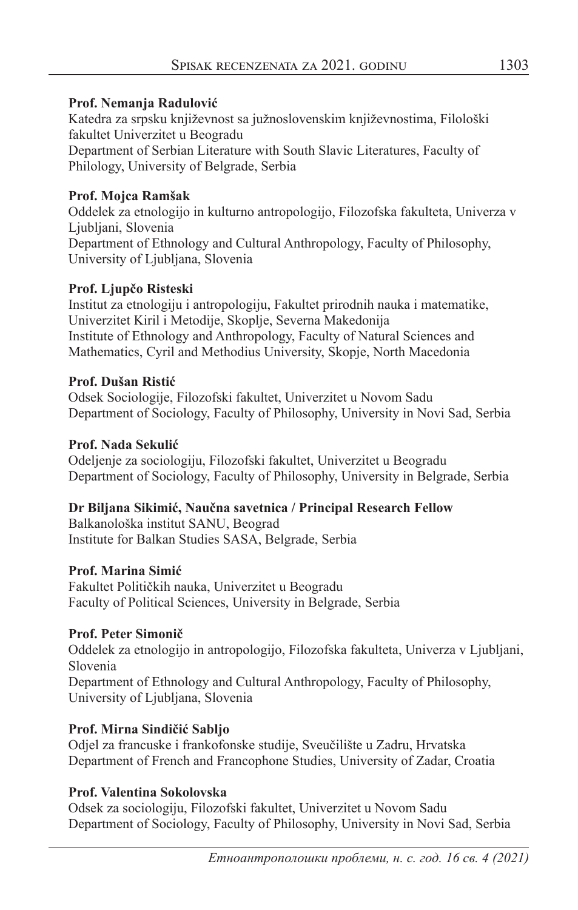#### **Prof. Nemanja Radulović**

Katedra za srpsku književnost sa južnoslovenskim književnostima, Filološki fakultet Univerzitet u Beogradu Department of Serbian Literature with South Slavic Literatures, Faculty of

Philology, University of Belgrade, Serbia

#### **Prof. Mojca Ramšak**

Oddelek za etnologijo in kulturno antropologijo, Filozofska fakulteta, Univerza v Ljubljani, Slovenia Department of Ethnology and Cultural Anthropology, Faculty of Philosophy, University of Ljubljana, Slovenia

#### **Prof. Ljupčo Risteski**

Institut za etnologiju i antropologiju, Fakultet prirodnih nauka i matematike, Univerzitet Kiril i Metodije, Skoplje, Severna Makedonija Institute of Ethnology and Anthropology, Faculty of Natural Sciences and Mathematics, Cyril and Methodius University, Skopje, North Macedonia

#### **Prof. Dušan Ristić**

Odsek Sociologije, Filozofski fakultet, Univerzitet u Novom Sadu Department of Sociology, Faculty of Philosophy, University in Novi Sad, Serbia

#### **Prof. Nada Sekulić**

Odeljenje za sociologiju, Filozofski fakultet, Univerzitet u Beogradu Department of Sociology, Faculty of Philosophy, University in Belgrade, Serbia

#### **Dr Biljana Sikimić, Naučna savetnica / Principal Research Fellow**

Balkanološka institut SANU, Beograd Institute for Balkan Studies SASA, Belgrade, Serbia

#### **Prof. Marina Simić**

Fakultet Političkih nauka, Univerzitet u Beogradu Faculty of Political Sciences, University in Belgrade, Serbia

#### **Prof. Peter Simonič**

Oddelek za etnologijo in antropologijo, Filozofska fakulteta, Univerza v Ljubljani, Slovenia Department of Ethnology and Cultural Anthropology, Faculty of Philosophy,

University of Ljubljana, Slovenia

## **Prof. Mirna Sindičić Sabljo**

Odjel za francuske i frankofonske studije, Sveučilište u Zadru, Hrvatska Department of French and Francophone Studies, University of Zadar, Croatia

## **Prof. Valentina Sokolovska**

Odsek za sociologiju, Filozofski fakultet, Univerzitet u Novom Sadu Department of Sociology, Faculty of Philosophy, University in Novi Sad, Serbia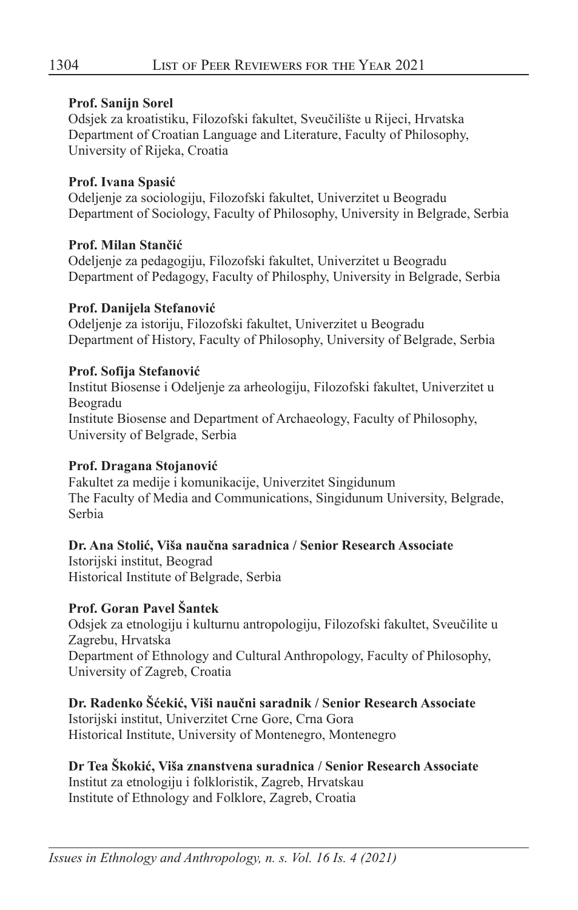#### **Prof. Sanijn Sorel**

Odsjek za kroatistiku, Filozofski fakultet, Sveučilište u Rijeci, Hrvatska Department of Croatian Language and Literature, Faculty of Philosophy, University of Rijeka, Croatia

#### **Prof. Ivana Spasić**

Odeljenje za sociologiju, Filozofski fakultet, Univerzitet u Beogradu Department of Sociology, Faculty of Philosophy, University in Belgrade, Serbia

#### **Prof. Milan Stančić**

Odeljenje za pedagogiju, Filozofski fakultet, Univerzitet u Beogradu Department of Pedagogy, Faculty of Philosphy, University in Belgrade, Serbia

#### **Prof. Danijela Stefanović**

Odeljenje za istoriju, Filozofski fakultet, Univerzitet u Beogradu Department of History, Faculty of Philosophy, University of Belgrade, Serbia

#### **Prof. Sofija Stefanović**

Institut Biosense i Odeljenje za arheologiju, Filozofski fakultet, Univerzitet u Beogradu Institute Biosense and Department of Archaeology, Faculty of Philosophy, University of Belgrade, Serbia

#### **Prof. Dragana Stojanović**

Fakultet za medije i komunikacije, Univerzitet Singidunum The Faculty of Media and Communications, Singidunum University, Belgrade, Serbia

#### **Dr. Ana Stolić, Viša naučna saradnica / Senior Research Associate**

Istorijski institut, Beograd Historical Institute of Belgrade, Serbia

## **Prof. Goran Pavel Šantek**

Odsjek za etnologiju i kulturnu antropologiju, Filozofski fakultet, Sveučilite u Zagrebu, Hrvatska Department of Ethnology and Cultural Anthropology, Faculty of Philosophy, University of Zagreb, Croatia

**Dr. Radenko Šćekić, Viši naučni saradnik / Senior Research Associate** Istorijski institut, Univerzitet Crne Gore, Crna Gora Historical Institute, University of Montenegro, Montenegro

## **Dr Tea Škokić, Viša znanstvena suradnica / Senior Research Associate**

Institut za etnologiju i folkloristik, Zagreb, Hrvatskau Institute of Ethnology and Folklore, Zagreb, Croatia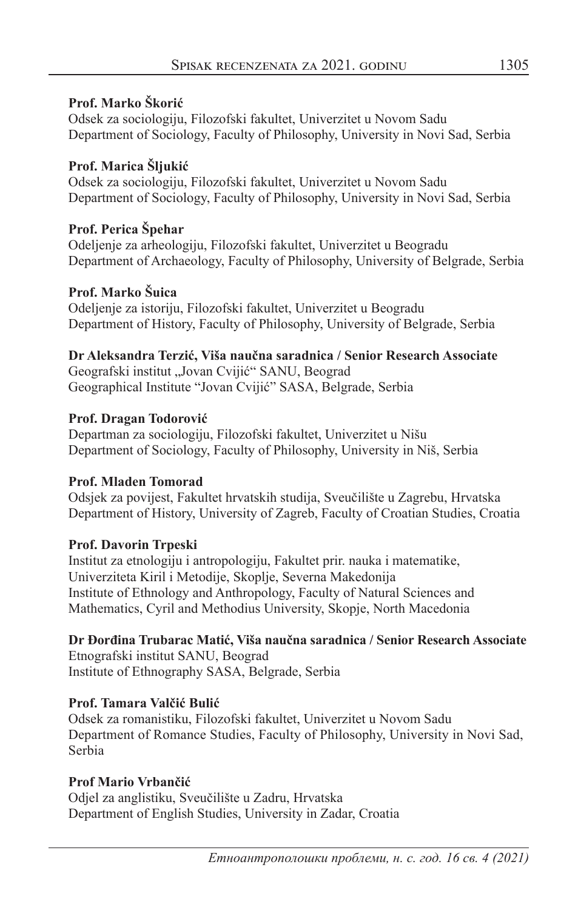#### **Prof. Marko Škorić**

Odsek za sociologiju, Filozofski fakultet, Univerzitet u Novom Sadu Department of Sociology, Faculty of Philosophy, University in Novi Sad, Serbia

## **Prof. Маrica Šljukić**

Odsek za sociologiju, Filozofski fakultet, Univerzitet u Novom Sadu Department of Sociology, Faculty of Philosophy, University in Novi Sad, Serbia

## **Prof. Perica Špehar**

Odeljenje za arheologiju, Filozofski fakultet, Univerzitet u Beogradu Department of Archaeology, Faculty of Philosophy, University of Belgrade, Serbia

#### **Prof. Marko Šuica**

Odeljenje za istoriju, Filozofski fakultet, Univerzitet u Beogradu Department of History, Faculty of Philosophy, University of Belgrade, Serbia

#### **Dr Aleksandra Terzić, Viša naučna saradnica / Senior Research Associate**

Geografski institut "Jovan Cvijić" SANU, Beograd Geographical Institute "Jovan Cvijić" SASA, Belgrade, Serbia

#### **Prof. Dragan Todorović**

Departman za sociologiju, Filozofski fakultet, Univerzitet u Nišu Department of Sociology, Faculty of Philosophy, University in Niš, Serbia

#### **Prof. Mladen Tomorad**

Odsjek za povijest, Fakultet hrvatskih studija, Sveučilište u Zagrebu, Hrvatska Department of History, University of Zagreb, Faculty of Croatian Studies, Croatia

## **Prof. Davorin Trpeski**

Institut za etnologiju i antropologiju, Fakultet prir. nauka i matematike, Univerziteta Kiril i Metodije, Skoplje, Severna Makedonija Institute of Ethnology and Anthropology, Faculty of Natural Sciences and Mathematics, Cyril and Methodius University, Skopje, North Macedonia

## **Dr Đorđina Trubarac Matić, Viša naučna saradnica / Senior Research Associate**

Etnografski institut SANU, Beograd Institute of Ethnography SASA, Belgrade, Serbia

## **Prof. Tamara Valčić Bulić**

Odsek za romanistiku, Filozofski fakultet, Univerzitet u Novom Sadu Department of Romance Studies, Faculty of Philosophy, University in Novi Sad, Serbia

#### **Prof Mario Vrbančić**

Odjel za anglistiku, Sveučilište u Zadru, Hrvatska Department of English Studies, University in Zadar, Croatia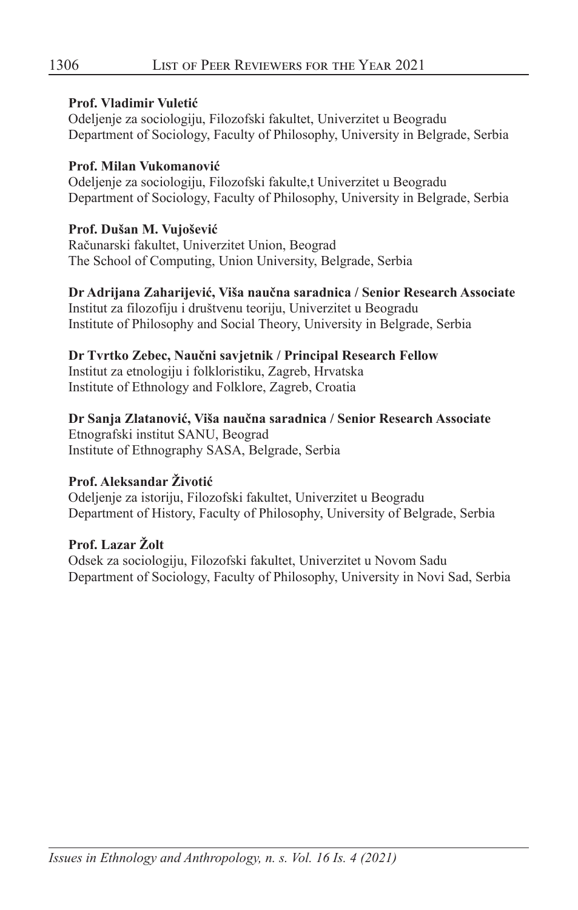#### **Prof. Vladimir Vuletić**

Odeljenje za sociologiju, Filozofski fakultet, Univerzitet u Beogradu Department of Sociology, Faculty of Philosophy, University in Belgrade, Serbia

#### **Prof. Milan Vukomanović**

Odeljenje za sociologiju, Filozofski fakulte,t Univerzitet u Beogradu Department of Sociology, Faculty of Philosophy, University in Belgrade, Serbia

#### **Prof. Dušan M. Vujošević**

Računarski fakultet, Univerzitet Union, Beograd The School of Computing, Union University, Belgrade, Serbia

#### **Dr Adrijana Zaharijević, Viša naučna saradnica / Senior Research Associate**

Institut za filozofiju i društvenu teoriju, Univerzitet u Beogradu Institute of Philosophy and Social Theory, University in Belgrade, Serbia

#### **Dr Tvrtko Zebec, Naučni savjetnik / Principal Research Fellow**

Institut za etnologiju i folkloristiku, Zagreb, Hrvatska Institute of Ethnology and Folklore, Zagreb, Croatia

## **Dr Sanja Zlatanović, Viša naučna saradnica / Senior Research Associate**

Etnografski institut SANU, Beograd Institute of Ethnography SASA, Belgrade, Serbia

## **Prof. Aleksandar Životić**

Odeljenje za istoriju, Filozofski fakultet, Univerzitet u Beogradu Department of History, Faculty of Philosophy, University of Belgrade, Serbia

## **Prof. Lazar Žolt**

Odsek za sociologiju, Filozofski fakultet, Univerzitet u Novom Sadu Department of Sociology, Faculty of Philosophy, University in Novi Sad, Serbia

*Issues in Ethnology and Anthropology, n. s. Vol. 16 Is. 4 (2021)*